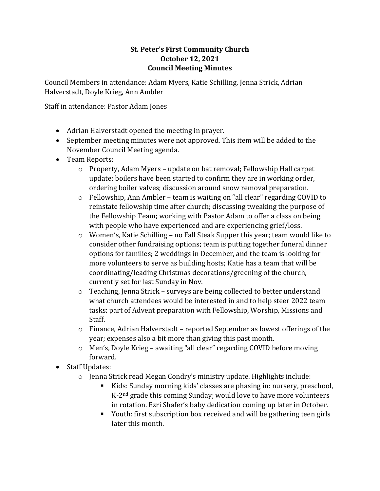## **St. Peter's First Community Church October 12, 2021 Council Meeting Minutes**

Council Members in attendance: Adam Myers, Katie Schilling, Jenna Strick, Adrian Halverstadt, Doyle Krieg, Ann Ambler

Staff in attendance: Pastor Adam Jones

- Adrian Halverstadt opened the meeting in prayer.
- September meeting minutes were not approved. This item will be added to the November Council Meeting agenda.
- Team Reports:
	- o Property, Adam Myers update on bat removal; Fellowship Hall carpet update; boilers have been started to confirm they are in working order, ordering boiler valves; discussion around snow removal preparation.
	- $\circ$  Fellowship, Ann Ambler team is waiting on "all clear" regarding COVID to reinstate fellowship time after church; discussing tweaking the purpose of the Fellowship Team; working with Pastor Adam to offer a class on being with people who have experienced and are experiencing grief/loss.
	- o Women's, Katie Schilling no Fall Steak Supper this year; team would like to consider other fundraising options; team is putting together funeral dinner options for families; 2 weddings in December, and the team is looking for more volunteers to serve as building hosts; Katie has a team that will be coordinating/leading Christmas decorations/greening of the church, currently set for last Sunday in Nov.
	- o Teaching, Jenna Strick surveys are being collected to better understand what church attendees would be interested in and to help steer 2022 team tasks; part of Advent preparation with Fellowship, Worship, Missions and Staff.
	- $\circ$  Finance, Adrian Halverstadt reported September as lowest offerings of the year; expenses also a bit more than giving this past month.
	- o Men's, Doyle Krieg awaiting "all clear" regarding COVID before moving forward.
- Staff Updates:
	- $\circ$  Jenna Strick read Megan Condry's ministry update. Highlights include:
		- Kids: Sunday morning kids' classes are phasing in: nursery, preschool, K-2nd grade this coming Sunday; would love to have more volunteers in rotation. Ezri Shafer's baby dedication coming up later in October.
		- Youth: first subscription box received and will be gathering teen girls later this month.